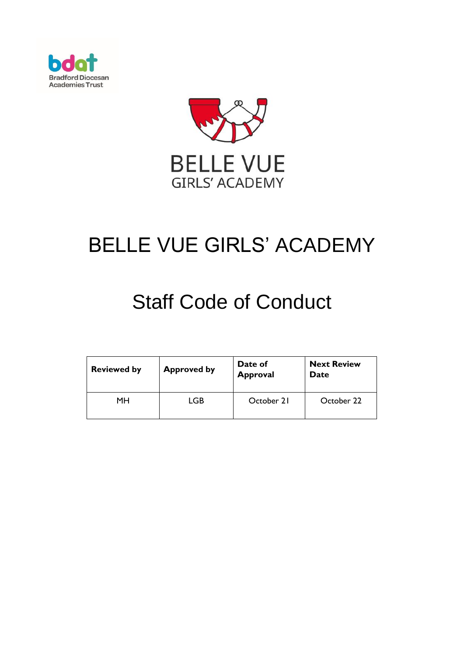



# BELLE VUE GIRLS' ACADEMY

# Staff Code of Conduct

| <b>Reviewed by</b> | <b>Approved by</b> | Date of<br><b>Approval</b> | <b>Next Review</b><br>Date |
|--------------------|--------------------|----------------------------|----------------------------|
| MН                 | LGB                | October 21                 | October 22                 |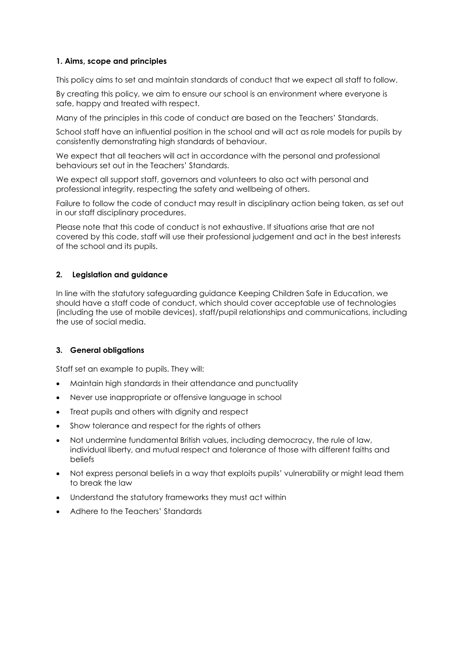#### **1. Aims, scope and principles**

This policy aims to set and maintain standards of conduct that we expect all staff to follow.

By creating this policy, we aim to ensure our school is an environment where everyone is safe, happy and treated with respect.

Many of the principles in this code of conduct are based on the [Teachers' Standards](https://www.gov.uk/government/publications/teachers-standards).

School staff have an influential position in the school and will act as role models for pupils by consistently demonstrating high standards of behaviour.

We expect that all teachers will act in accordance with the personal and professional behaviours set out in the Teachers' Standards.

We expect all support staff, governors and volunteers to also act with personal and professional integrity, respecting the safety and wellbeing of others.

Failure to follow the code of conduct may result in disciplinary action being taken, as set out in our staff disciplinary procedures.

Please note that this code of conduct is not exhaustive. If situations arise that are not covered by this code, staff will use their professional judgement and act in the best interests of the school and its pupils.

#### **2. Legislation and guidance**

In line with the statutory safeguarding guidance [Keeping Children Safe in Education,](https://www.gov.uk/government/publications/keeping-children-safe-in-education--2) we should have a staff code of conduct, which should cover acceptable use of technologies (including the use of mobile devices), staff/pupil relationships and communications, including the use of social media.

#### **3. General obligations**

Staff set an example to pupils. They will:

- Maintain high standards in their attendance and punctuality
- Never use inappropriate or offensive language in school
- Treat pupils and others with dignity and respect
- Show tolerance and respect for the rights of others
- Not undermine fundamental British values, including democracy, the rule of law, individual liberty, and mutual respect and tolerance of those with different faiths and beliefs
- Not express personal beliefs in a way that exploits pupils' vulnerability or might lead them to break the law
- Understand the statutory frameworks they must act within
- Adhere to the Teachers' Standards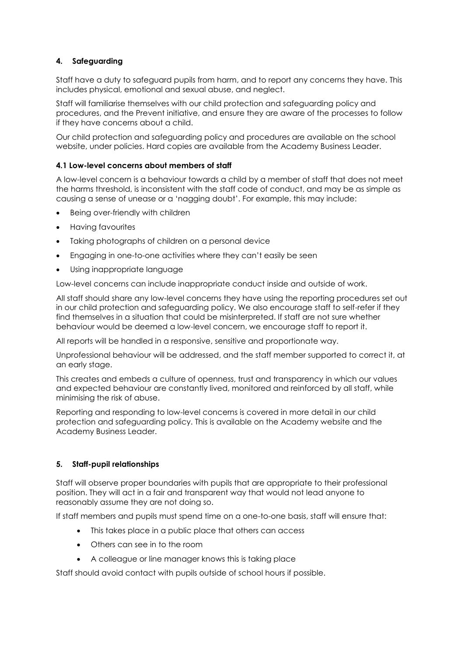# **4. Safeguarding**

Staff have a duty to safeguard pupils from harm, and to report any concerns they have. This includes physical, emotional and sexual abuse, and neglect.

Staff will familiarise themselves with our child protection and safeguarding policy and procedures, and the Prevent initiative, and ensure they are aware of the processes to follow if they have concerns about a child.

Our child protection and safeguarding policy and procedures are available on the school website, under policies. Hard copies are available from the Academy Business Leader.

#### **4.1 Low-level concerns about members of staff**

A low-level concern is a behaviour towards a child by a member of staff that does not meet the harms threshold, is inconsistent with the staff code of conduct, and may be as simple as causing a sense of unease or a 'nagging doubt'. For example, this may include:

- Being over-friendly with children
- Having favourites
- Taking photographs of children on a personal device
- Engaging in one-to-one activities where they can't easily be seen
- Using inappropriate language

Low-level concerns can include inappropriate conduct inside and outside of work.

All staff should share any low-level concerns they have using the reporting procedures set out in our child protection and safeguarding policy. We also encourage staff to self-refer if they find themselves in a situation that could be misinterpreted. If staff are not sure whether behaviour would be deemed a low-level concern, we encourage staff to report it.

All reports will be handled in a responsive, sensitive and proportionate way.

Unprofessional behaviour will be addressed, and the staff member supported to correct it, at an early stage.

This creates and embeds a culture of openness, trust and transparency in which our values and expected behaviour are constantly lived, monitored and reinforced by all staff, while minimising the risk of abuse.

Reporting and responding to low-level concerns is covered in more detail in our child protection and safeguarding policy. This is available on the Academy website and the Academy Business Leader.

## **5. Staff-pupil relationships**

Staff will observe proper boundaries with pupils that are appropriate to their professional position. They will act in a fair and transparent way that would not lead anyone to reasonably assume they are not doing so.

If staff members and pupils must spend time on a one-to-one basis, staff will ensure that:

- This takes place in a public place that others can access
- Others can see in to the room
- A colleague or line manager knows this is taking place

Staff should avoid contact with pupils outside of school hours if possible.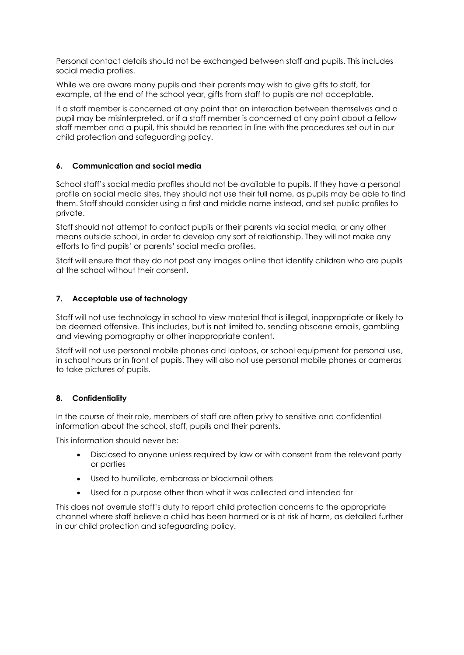Personal contact details should not be exchanged between staff and pupils. This includes social media profiles.

While we are aware many pupils and their parents may wish to give gifts to staff, for example, at the end of the school year, gifts from staff to pupils are not acceptable.

If a staff member is concerned at any point that an interaction between themselves and a pupil may be misinterpreted, or if a staff member is concerned at any point about a fellow staff member and a pupil, this should be reported in line with the procedures set out in our child protection and safeguarding policy.

#### **6. Communication and social media**

School staff's social media profiles should not be available to pupils. If they have a personal profile on social media sites, they should not use their full name, as pupils may be able to find them. Staff should consider using a first and middle name instead, and set public profiles to private.

Staff should not attempt to contact pupils or their parents via social media, or any other means outside school, in order to develop any sort of relationship. They will not make any efforts to find pupils' or parents' social media profiles.

Staff will ensure that they do not post any images online that identify children who are pupils at the school without their consent.

## **7. Acceptable use of technology**

Staff will not use technology in school to view material that is illegal, inappropriate or likely to be deemed offensive. This includes, but is not limited to, sending obscene emails, gambling and viewing pornography or other inappropriate content.

Staff will not use personal mobile phones and laptops, or school equipment for personal use, in school hours or in front of pupils. They will also not use personal mobile phones or cameras to take pictures of pupils.

#### **8. Confidentiality**

In the course of their role, members of staff are often privy to sensitive and confidential information about the school, staff, pupils and their parents.

This information should never be:

- Disclosed to anyone unless required by law or with consent from the relevant party or parties
- Used to humiliate, embarrass or blackmail others
- Used for a purpose other than what it was collected and intended for

This does not overrule staff's duty to report child protection concerns to the appropriate channel where staff believe a child has been harmed or is at risk of harm, as detailed further in our child protection and safeguarding policy.